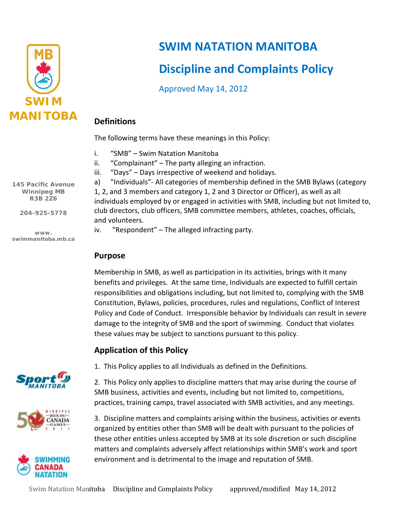

# **SWIM NATATION MANITOBA**

# **Discipline and Complaints Policy**

Approved May 14, 2012

## **Definitions**

The following terms have these meanings in this Policy:

- i. "SMB" Swim Natation Manitoba
- ii. "Complainant" The party alleging an infraction.
- iii. "Days" Days irrespective of weekend and holidays.

a) "Individuals"- All categories of membership defined in the SMB Bylaws (category 1, 2, and 3 members and category 1, 2 and 3 Director or Officer), as well as all individuals employed by or engaged in activities with SMB, including but not limited to, club directors, club officers, SMB committee members, athletes, coaches, officials, and volunteers.

iv. "Respondent" – The alleged infracting party.

## **Purpose**

Membership in SMB, as well as participation in its activities, brings with it many benefits and privileges. At the same time, Individuals are expected to fulfill certain responsibilities and obligations including, but not limited to, complying with the SMB Constitution, Bylaws, policies, procedures, rules and regulations, Conflict of Interest Policy and Code of Conduct. Irresponsible behavior by Individuals can result in severe damage to the integrity of SMB and the sport of swimming. Conduct that violates these values may be subject to sanctions pursuant to this policy.

## **Application of this Policy**



1. This Policy applies to all Individuals as defined in the Definitions.

2. This Policy only applies to discipline matters that may arise during the course of SMB business, activities and events, including but not limited to, competitions, practices, training camps, travel associated with SMB activities, and any meetings.

3. Discipline matters and complaints arising within the business, activities or events organized by entities other than SMB will be dealt with pursuant to the policies of these other entities unless accepted by SMB at its sole discretion or such discipline matters and complaints adversely affect relationships within SMB's work and sport environment and is detrimental to the image and reputation of SMB.

**145 Pacific Avenue Winnipeg MB R3B 2Z6**

**204-925-5778**

**www. swimmanitoba.mb.ca**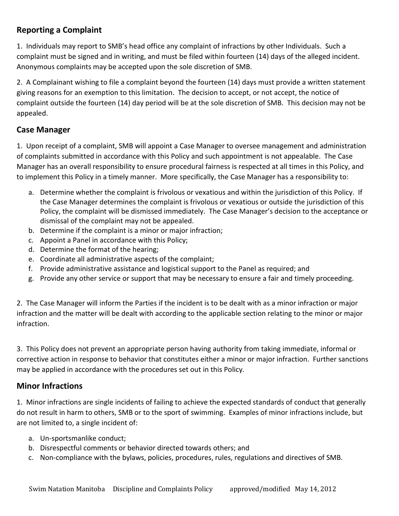## **Reporting a Complaint**

1. Individuals may report to SMB's head office any complaint of infractions by other Individuals. Such a complaint must be signed and in writing, and must be filed within fourteen (14) days of the alleged incident. Anonymous complaints may be accepted upon the sole discretion of SMB.

2. A Complainant wishing to file a complaint beyond the fourteen (14) days must provide a written statement giving reasons for an exemption to this limitation. The decision to accept, or not accept, the notice of complaint outside the fourteen (14) day period will be at the sole discretion of SMB. This decision may not be appealed.

## **Case Manager**

1. Upon receipt of a complaint, SMB will appoint a Case Manager to oversee management and administration of complaints submitted in accordance with this Policy and such appointment is not appealable. The Case Manager has an overall responsibility to ensure procedural fairness is respected at all times in this Policy, and to implement this Policy in a timely manner. More specifically, the Case Manager has a responsibility to:

- a. Determine whether the complaint is frivolous or vexatious and within the jurisdiction of this Policy. If the Case Manager determines the complaint is frivolous or vexatious or outside the jurisdiction of this Policy, the complaint will be dismissed immediately. The Case Manager's decision to the acceptance or dismissal of the complaint may not be appealed.
- b. Determine if the complaint is a minor or major infraction;
- c. Appoint a Panel in accordance with this Policy;
- d. Determine the format of the hearing;
- e. Coordinate all administrative aspects of the complaint;
- f. Provide administrative assistance and logistical support to the Panel as required; and
- g. Provide any other service or support that may be necessary to ensure a fair and timely proceeding.

2. The Case Manager will inform the Parties if the incident is to be dealt with as a minor infraction or major infraction and the matter will be dealt with according to the applicable section relating to the minor or major infraction.

3. This Policy does not prevent an appropriate person having authority from taking immediate, informal or corrective action in response to behavior that constitutes either a minor or major infraction. Further sanctions may be applied in accordance with the procedures set out in this Policy.

## **Minor Infractions**

1. Minor infractions are single incidents of failing to achieve the expected standards of conduct that generally do not result in harm to others, SMB or to the sport of swimming. Examples of minor infractions include, but are not limited to, a single incident of:

- a. Un-sportsmanlike conduct;
- b. Disrespectful comments or behavior directed towards others; and
- c. Non-compliance with the bylaws, policies, procedures, rules, regulations and directives of SMB.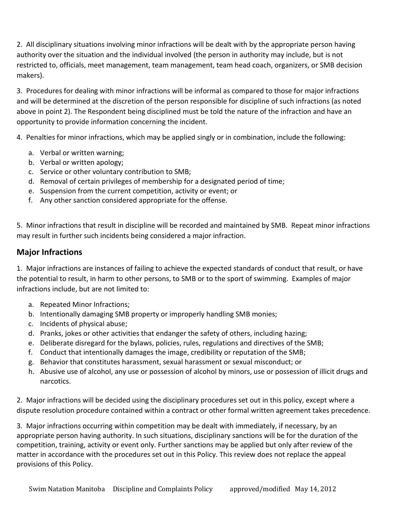2. All disciplinary situations involving minor infractions will be dealt with by the appropriate person having authority over the situation and the individual involved (the person in authority may include, but is not restricted to, officials, meet management, team management, team head coach, organizers, or SMB decision makers).

3. Procedures for dealing with minor infractions will be informal as compared to those for major infractions and will be determined at the discretion of the person responsible for discipline of such infractions (as noted above in point 2). The Respondent being disciplined must be told the nature of the infraction and have an opportunity to provide information concerning the incident.

4. Penalties for minor infractions, which may be applied singly or in combination, include the following:

- a. Verbal or written warning;
- b. Verbal or written apology;
- c. Service or other voluntary contribution to SMB;
- d. Removal of certain privileges of membership for a designated period of time;
- e. Suspension from the current competition, activity or event; or
- f. Any other sanction considered appropriate for the offense.

5. Minor infractions that result in discipline will be recorded and maintained by SMB. Repeat minor infractions may result in further such incidents being considered a major infraction.

## **Major Infractions**

1. Major infractions are instances of failing to achieve the expected standards of conduct that result, or have the potential to result, in harm to other persons, to SMB or to the sport of swimming. Examples of major infractions include, but are not limited to:

- a. Repeated Minor Infractions;
- b. Intentionally damaging SMB property or improperly handling SMB monies;
- c. Incidents of physical abuse;
- d. Pranks, jokes or other activities that endanger the safety of others, including hazing;
- e. Deliberate disregard for the bylaws, policies, rules, regulations and directives of the SMB;
- f. Conduct that intentionally damages the image, credibility or reputation of the SMB;
- g. Behavior that constitutes harassment, sexual harassment or sexual misconduct; or
- h. Abusive use of alcohol, any use or possession of alcohol by minors, use or possession of illicit drugs and narcotics.

2. Major infractions will be decided using the disciplinary procedures set out in this policy, except where a dispute resolution procedure contained within a contract or other formal written agreement takes precedence.

3. Major infractions occurring within competition may be dealt with immediately, if necessary, by an appropriate person having authority. In such situations, disciplinary sanctions will be for the duration of the competition, training, activity or event only. Further sanctions may be applied but only after review of the matter in accordance with the procedures set out in this Policy. This review does not replace the appeal provisions of this Policy.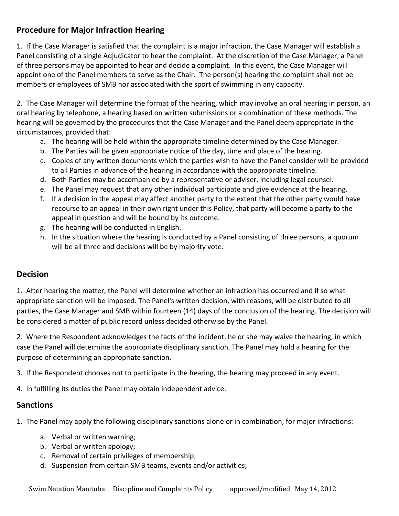## **Procedure for Major Infraction Hearing**

1. If the Case Manager is satisfied that the complaint is a major infraction, the Case Manager will establish a Panel consisting of a single Adjudicator to hear the complaint. At the discretion of the Case Manager, a Panel of three persons may be appointed to hear and decide a complaint. In this event, the Case Manager will appoint one of the Panel members to serve as the Chair. The person(s) hearing the complaint shall not be members or employees of SMB nor associated with the sport of swimming in any capacity.

2. The Case Manager will determine the format of the hearing, which may involve an oral hearing in person, an oral hearing by telephone, a hearing based on written submissions or a combination of these methods. The hearing will be governed by the procedures that the Case Manager and the Panel deem appropriate in the circumstances, provided that:

- a. The hearing will be held within the appropriate timeline determined by the Case Manager.
- b. The Parties will be given appropriate notice of the day, time and place of the hearing.
- c. Copies of any written documents which the parties wish to have the Panel consider will be provided to all Parties in advance of the hearing in accordance with the appropriate timeline.
- d. Both Parties may be accompanied by a representative or adviser, including legal counsel.
- e. The Panel may request that any other individual participate and give evidence at the hearing.
- f. If a decision in the appeal may affect another party to the extent that the other party would have recourse to an appeal in their own right under this Policy, that party will become a party to the appeal in question and will be bound by its outcome.
- g. The hearing will be conducted in English.
- h. In the situation where the hearing is conducted by a Panel consisting of three persons, a quorum will be all three and decisions will be by majority vote.

## **Decision**

1. After hearing the matter, the Panel will determine whether an infraction has occurred and if so what appropriate sanction will be imposed. The Panel's written decision, with reasons, will be distributed to all parties, the Case Manager and SMB within fourteen (14) days of the conclusion of the hearing. The decision will be considered a matter of public record unless decided otherwise by the Panel.

2. Where the Respondent acknowledges the facts of the incident, he or she may waive the hearing, in which case the Panel will determine the appropriate disciplinary sanction. The Panel may hold a hearing for the purpose of determining an appropriate sanction.

3. If the Respondent chooses not to participate in the hearing, the hearing may proceed in any event.

4. In fulfilling its duties the Panel may obtain independent advice.

## **Sanctions**

1. The Panel may apply the following disciplinary sanctions alone or in combination, for major infractions:

- a. Verbal or written warning;
- b. Verbal or written apology;
- c. Removal of certain privileges of membership;
- d. Suspension from certain SMB teams, events and/or activities;